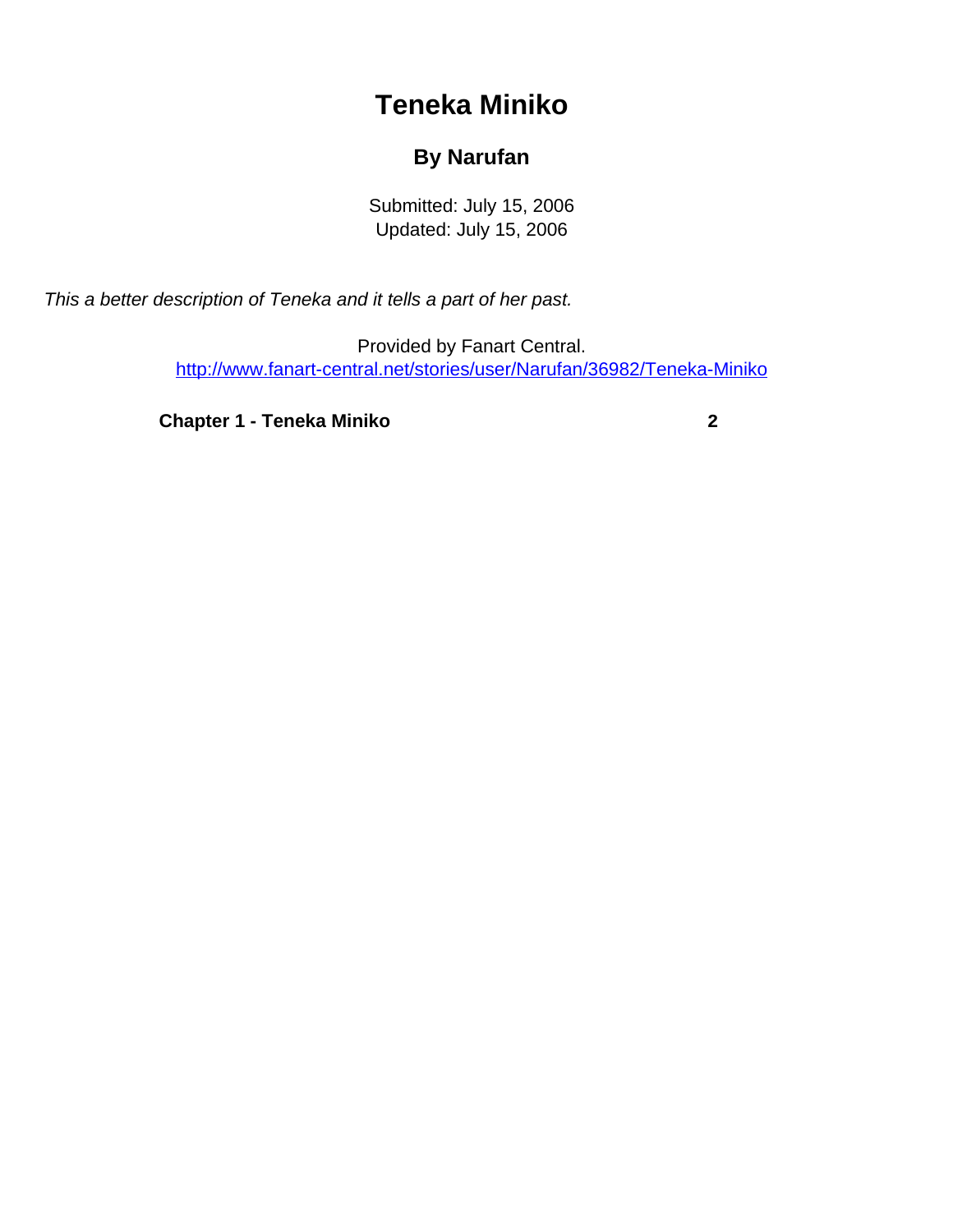## **Teneka Miniko**

## **By Narufan**

Submitted: July 15, 2006 Updated: July 15, 2006

<span id="page-0-0"></span>This a better description of Teneka and it tells a part of her past.

Provided by Fanart Central. [http://www.fanart-central.net/stories/user/Narufan/36982/Teneka-Miniko](#page-0-0)

**[Chapter 1 - Teneka Miniko](#page-1-0) [2](#page-1-0)**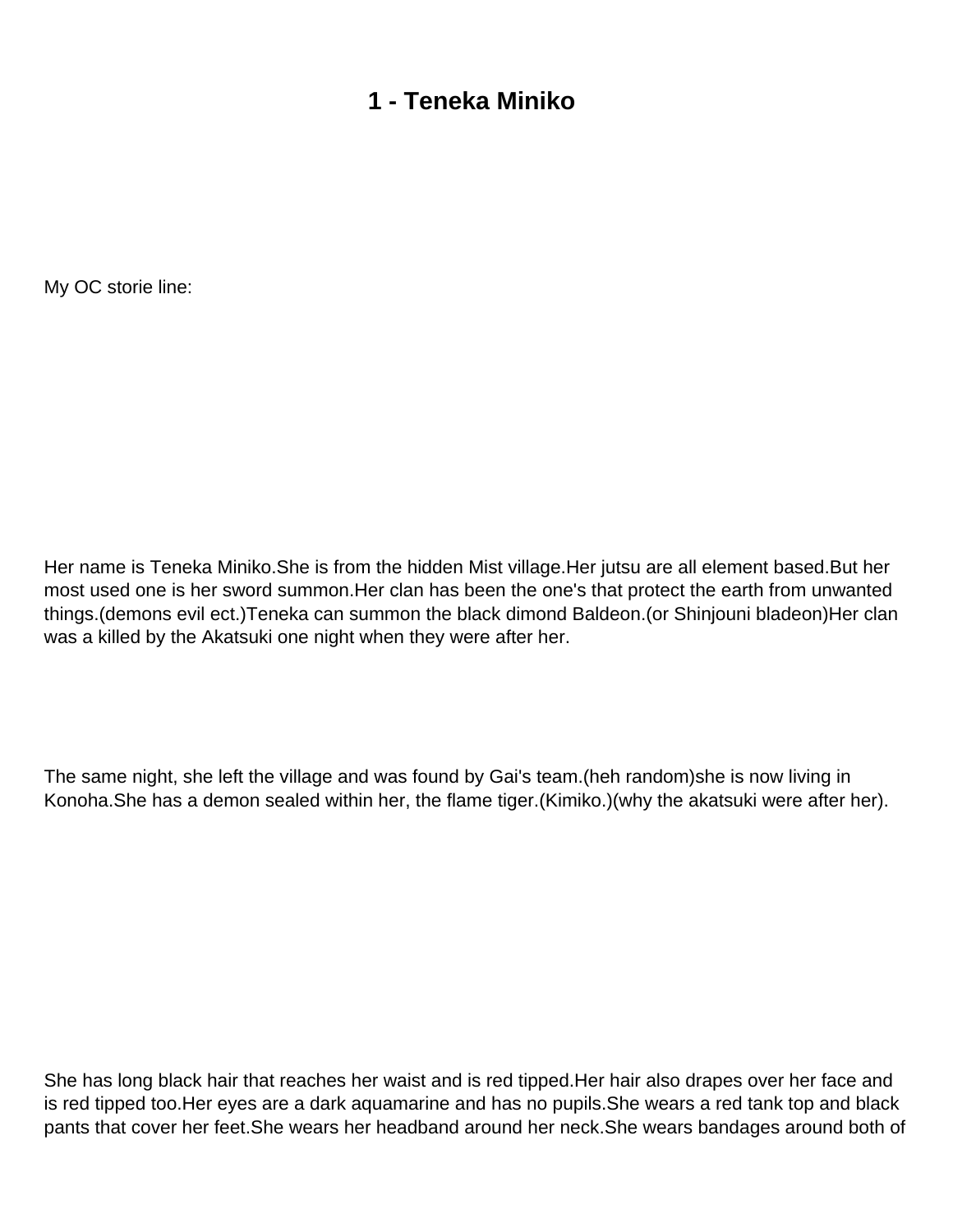## **1 - Teneka Miniko**

<span id="page-1-0"></span>My OC storie line:

Her name is Teneka Miniko.She is from the hidden Mist village.Her jutsu are all element based.But her most used one is her sword summon.Her clan has been the one's that protect the earth from unwanted things.(demons evil ect.)Teneka can summon the black dimond Baldeon.(or Shinjouni bladeon)Her clan was a killed by the Akatsuki one night when they were after her.

The same night, she left the village and was found by Gai's team.(heh random)she is now living in Konoha.She has a demon sealed within her, the flame tiger.(Kimiko.)(why the akatsuki were after her).

She has long black hair that reaches her waist and is red tipped.Her hair also drapes over her face and is red tipped too.Her eyes are a dark aquamarine and has no pupils.She wears a red tank top and black pants that cover her feet.She wears her headband around her neck.She wears bandages around both of